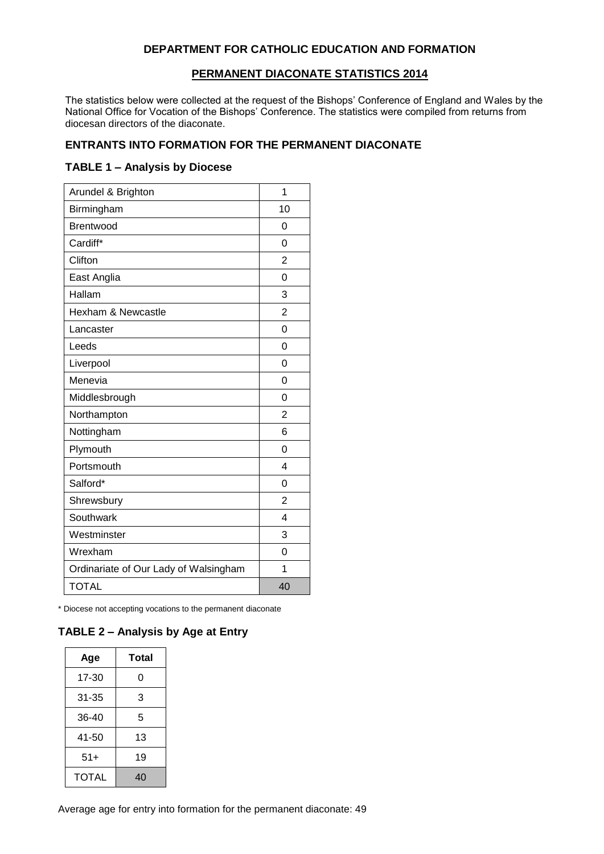#### **DEPARTMENT FOR CATHOLIC EDUCATION AND FORMATION**

#### **PERMANENT DIACONATE STATISTICS 2014**

The statistics below were collected at the request of the Bishops' Conference of England and Wales by the National Office for Vocation of the Bishops' Conference. The statistics were compiled from returns from diocesan directors of the diaconate.

#### **ENTRANTS INTO FORMATION FOR THE PERMANENT DIACONATE**

#### **TABLE 1 – Analysis by Diocese**

| Arundel & Brighton                    | 1              |
|---------------------------------------|----------------|
| Birmingham                            | 10             |
| Brentwood                             | 0              |
| Cardiff*                              | 0              |
| Clifton                               | $\overline{2}$ |
| East Anglia                           | $\Omega$       |
| Hallam                                | 3              |
| Hexham & Newcastle                    | $\overline{2}$ |
| Lancaster                             | 0              |
| Leeds                                 | $\Omega$       |
| Liverpool                             | $\Omega$       |
| Menevia                               | 0              |
| Middlesbrough                         | $\Omega$       |
| Northampton                           | $\overline{2}$ |
| Nottingham                            | 6              |
| Plymouth                              | 0              |
| Portsmouth                            | 4              |
| Salford*                              | 0              |
| Shrewsbury                            | 2              |
| Southwark                             | 4              |
| Westminster                           | 3              |
| Wrexham                               | 0              |
| Ordinariate of Our Lady of Walsingham | 1              |
| <b>TOTAL</b>                          | 40             |

\* Diocese not accepting vocations to the permanent diaconate

### **TABLE 2 – Analysis by Age at Entry**

| Age          | Total |  |  |
|--------------|-------|--|--|
| 17-30        | 0     |  |  |
| 31-35        | 3     |  |  |
| 36-40        | 5     |  |  |
| 41-50        | 13    |  |  |
| $51+$        | 19    |  |  |
| <b>TOTAL</b> | 40    |  |  |

Average age for entry into formation for the permanent diaconate: 49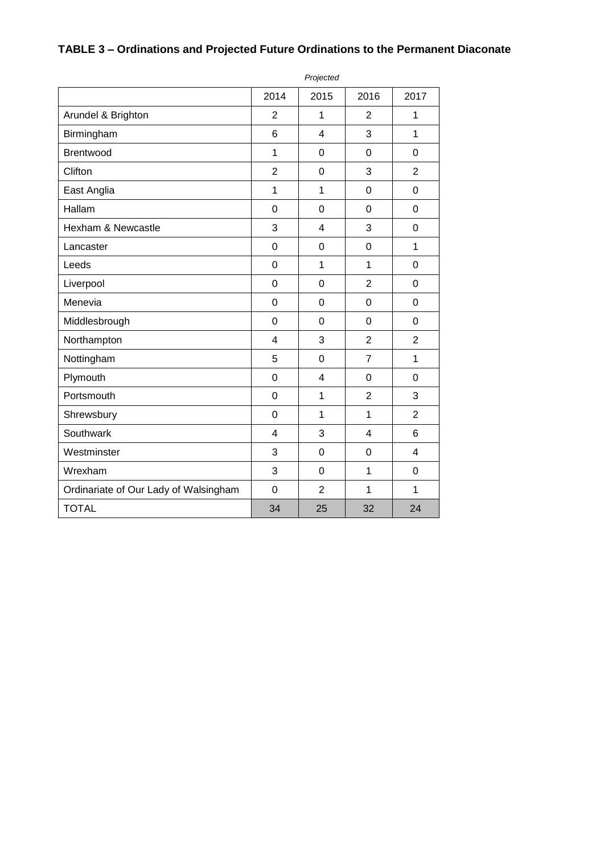|                                       |                | Projected      |                         |                |
|---------------------------------------|----------------|----------------|-------------------------|----------------|
|                                       | 2014           | 2015           | 2016                    | 2017           |
| Arundel & Brighton                    | $\overline{2}$ | 1              | $\overline{2}$          | 1              |
| Birmingham                            | 6              | 4              | 3                       | 1              |
| <b>Brentwood</b>                      | $\mathbf{1}$   | 0              | $\overline{0}$          | $\overline{0}$ |
| Clifton                               | $\overline{2}$ | $\Omega$       | 3                       | $\overline{2}$ |
| East Anglia                           | 1              | $\mathbf{1}$   | 0                       | $\overline{0}$ |
| Hallam                                | $\mathbf 0$    | 0              | $\overline{0}$          | $\mathbf 0$    |
| Hexham & Newcastle                    | 3              | 4              | 3                       | $\overline{0}$ |
| Lancaster                             | $\overline{0}$ | $\Omega$       | 0                       | 1              |
| Leeds                                 | $\overline{0}$ | $\mathbf{1}$   | $\mathbf{1}$            | $\overline{0}$ |
| Liverpool                             | $\mathbf 0$    | $\mathbf 0$    | $\overline{2}$          | $\mathbf 0$    |
| Menevia                               | $\mathbf 0$    | $\overline{0}$ | $\overline{0}$          | $\overline{0}$ |
| Middlesbrough                         | $\mathbf 0$    | $\mathbf 0$    | 0                       | $\Omega$       |
| Northampton                           | 4              | 3              | $\overline{2}$          | $\overline{2}$ |
| Nottingham                            | 5              | 0              | $\overline{7}$          | 1              |
| Plymouth                              | $\mathbf 0$    | $\overline{4}$ | $\overline{0}$          | $\overline{0}$ |
| Portsmouth                            | $\overline{0}$ | 1              | $\overline{2}$          | 3              |
| Shrewsbury                            | $\overline{0}$ | 1              | 1                       | $\overline{2}$ |
| Southwark                             | 4              | 3              | $\overline{\mathbf{4}}$ | 6              |
| Westminster                           | 3              | $\overline{0}$ | $\overline{0}$          | $\overline{4}$ |
| Wrexham                               | 3              | 0              | $\mathbf{1}$            | 0              |
| Ordinariate of Our Lady of Walsingham | $\overline{0}$ | $\overline{2}$ | 1                       | 1              |
| <b>TOTAL</b>                          | 34             | 25             | 32                      | 24             |

# **TABLE 3 – Ordinations and Projected Future Ordinations to the Permanent Diaconate**